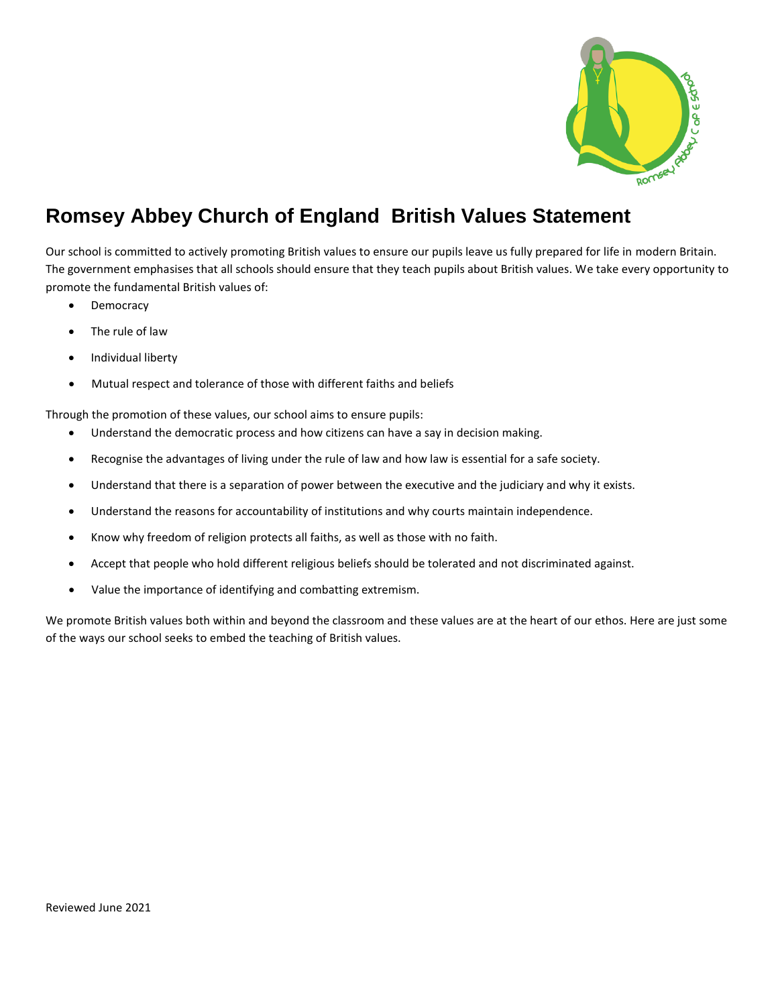

## **Romsey Abbey Church of England British Values Statement**

Our school is committed to actively promoting British values to ensure our pupils leave us fully prepared for life in modern Britain. The government emphasises that all schools should ensure that they teach pupils about British values. We take every opportunity to promote the fundamental British values of:

- **Democracy**
- The rule of law
- Individual liberty
- Mutual respect and tolerance of those with different faiths and beliefs

Through the promotion of these values, our school aims to ensure pupils:

- Understand the democratic process and how citizens can have a say in decision making.
- Recognise the advantages of living under the rule of law and how law is essential for a safe society.
- Understand that there is a separation of power between the executive and the judiciary and why it exists.
- Understand the reasons for accountability of institutions and why courts maintain independence.
- Know why freedom of religion protects all faiths, as well as those with no faith.
- Accept that people who hold different religious beliefs should be tolerated and not discriminated against.
- Value the importance of identifying and combatting extremism.

We promote British values both within and beyond the classroom and these values are at the heart of our ethos. Here are just some of the ways our school seeks to embed the teaching of British values.